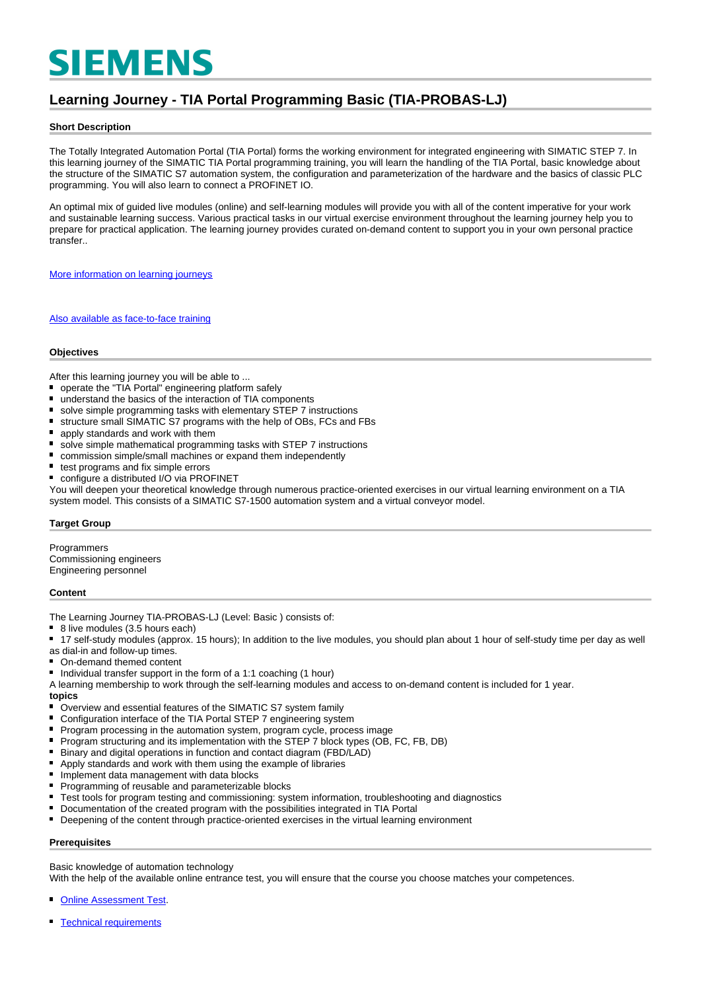# **SIEMENS**

# **Learning Journey - TIA Portal Programming Basic (TIA-PROBAS-LJ)**

## **Short Description**

The Totally Integrated Automation Portal (TIA Portal) forms the working environment for integrated engineering with SIMATIC STEP 7. In this learning journey of the SIMATIC TIA Portal programming training, you will learn the handling of the TIA Portal, basic knowledge about the structure of the SIMATIC S7 automation system, the configuration and parameterization of the hardware and the basics of classic PLC programming. You will also learn to connect a PROFINET IO.

An optimal mix of guided live modules (online) and self-learning modules will provide you with all of the content imperative for your work and sustainable learning success. Various practical tasks in our virtual exercise environment throughout the learning journey help you to prepare for practical application. The learning journey provides curated on-demand content to support you in your own personal practice transfer..

[More information on learning journeys](https://www.sitrain-learning.siemens.com/DE/en/rw40015/SITRAIN-Learning-Journey)

[Also available as face-to-face training](https://www.sitrain-learning.siemens.com/DE/en/rw89904/)

#### **Objectives**

After this learning journey you will be able to ...

- operate the "TIA Portal" engineering platform safely
- $\blacksquare$ understand the basics of the interaction of TIA components
- $\blacksquare$ solve simple programming tasks with elementary STEP 7 instructions
- structure small SIMATIC S7 programs with the help of OBs, FCs and FBs
- $\blacksquare$ apply standards and work with them
- $\blacksquare$ solve simple mathematical programming tasks with STEP 7 instructions
- commission simple/small machines or expand them independently
- test programs and fix simple errors
- $\blacksquare$ configure a distributed I/O via PROFINET

You will deepen your theoretical knowledge through numerous practice-oriented exercises in our virtual learning environment on a TIA system model. This consists of a SIMATIC S7-1500 automation system and a virtual conveyor model.

#### **Target Group**

Programmers Commissioning engineers Engineering personnel

#### **Content**

- The Learning Journey TIA-PROBAS-LJ (Level: Basic) consists of:<br>■ 8 live modules (3.5 hours each)
- 8 live modules (3.5 hours each)

■ 17 self-study modules (approx. 15 hours); In addition to the live modules, you should plan about 1 hour of self-study time per day as well

- as dial-in and follow-up times.
- On-demand themed content  $\blacksquare$
- Individual transfer support in the form of a 1:1 coaching  $(1$  hour)

A learning membership to work through the self-learning modules and access to on-demand content is included for 1 year. **topics**

- $\blacksquare$ Overview and essential features of the SIMATIC S7 system family
- $\blacksquare$ Configuration interface of the TIA Portal STEP 7 engineering system
- $\blacksquare$ Program processing in the automation system, program cycle, process image
- Program structuring and its implementation with the STEP 7 block types (OB, FC, FB, DB)
- Binary and digital operations in function and contact diagram (FBD/LAD)  $\blacksquare$
- Apply standards and work with them using the example of libraries
- $\blacksquare$ Implement data management with data blocks
- $\blacksquare$ Programming of reusable and parameterizable blocks
- Test tools for program testing and commissioning: system information, troubleshooting and diagnostics
- Documentation of the created program with the possibilities integrated in TIA Portal
- Deepening of the content through practice-oriented exercises in the virtual learning environment

## **Prerequisites**

Basic knowledge of automation technology

With the help of the available online entrance test, you will ensure that the course you choose matches your competences.

[Online Assessment Test.](https://wbt.siemens.com/sitrain/TIA-PRO1_EN/)

[Technical requirements](https://www.sitrain-learning.siemens.com/DE/en/content/SITRAIN-Learning-Journey/Technical-requirements-learning-journey.do)